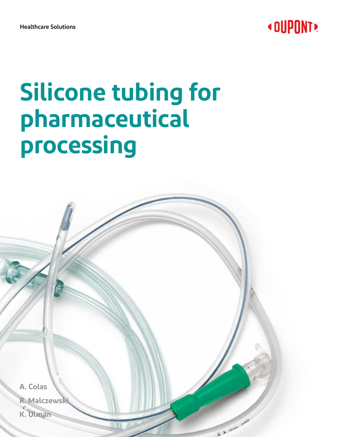

**Healthcare Solutions**

# **Silicone tubing for pharmaceutical processing**

**A. Colas R. Malczewski K. Ulman**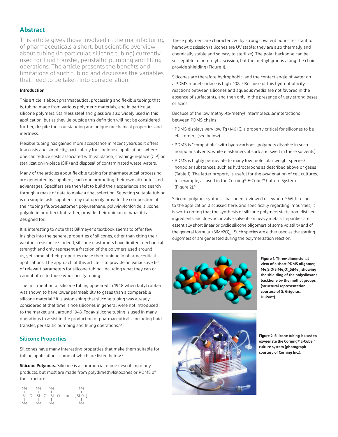### **Abstract**

This article gives those involved in the manufacturing of pharmaceuticals a short, but scientific overview about tubing (in particular, silicone tubing) currently used for fluid transfer, peristaltic pumping and filling operations. The article presents the benefits and limitations of such tubing and discusses the variables that need to be taken into consideration.

#### **Introduction**

This article is about pharmaceutical processing and flexible tubing; that is, tubing made from various polymeric materials, and in particular, silicone polymers. Stainless steel and glass are also widely used in this application, but as they lie outside this definition will not be considered further, despite their outstanding and unique mechanical properties and inertness.1

Flexible tubing has gained more acceptance in recent years as it offers low costs and simplicity, particularly for single-use applications where one can reduce costs associated with validation, cleaning-in-place (CIP) or sterilization-in-place (SIP) and disposal of contaminated waste waters.

Many of the articles about flexible tubing for pharmaceutical processing are generated by suppliers, each one promoting their own attributes and advantages. Specifiers are then left to build their experience and search through a maze of data to make a final selection. Selecting suitable tubing is no simple task: suppliers may not openly provide the composition of their tubing (fluoroelastomer, polyurethane, polyvinylchloride, silicone, polyolefin or other), but rather, provide their opinion of what it is designed for.

It is interesting to note that Billmeyer's textbook seems to offer few insights into the general properties of silicones, other than citing their weather resistance.<sup>2</sup> Indeed, silicone elastomers have limited mechanical strength and only represent a fraction of the polymers used around us, yet some of their properties make them unique in pharmaceutical applications. The approach of this article is to provide an exhaustive list of relevant parameters for silicone tubing, including what they can or cannot offer, to those who specify tubing.

The first mention of silicone tubing appeared in 1948 when butyl rubber was shown to have lower permeability to gases than a comparable silicone material.<sup>3</sup> It is astonishing that silicone tubing was already considered at that time, since silicones in general were not introduced to the market until around 1943. Today silicone tubing is used in many operations to assist in the production of pharmaceuticals, including fluid transfer, peristaltic pumping and filling operations.<sup>4,5</sup>

#### **Silicone Properties**

Silicones have many interesting properties that make them suitable for tubing applications, some of which are listed below.<sup>6</sup>

**Silicone Polymers.** Silicone is a commercial name describing many products, but most are made from polydimethylsiloxanes or PDMS of the structure:

| Me | Me | Me                           |                | Me              |
|----|----|------------------------------|----------------|-----------------|
|    |    |                              |                |                 |
|    |    | $SI - Q - SI - Q - SI - Q -$ | O <sub>1</sub> | $\lceil$ SI-0-1 |
|    |    |                              |                |                 |
| Me | Me | Me                           |                | Me              |

These polymers are characterized by strong covalent bonds resistant to hemolytic scission (silicones are UV stable; they are also thermally and chemically stable and so easy to sterilize). The polar backbone can be susceptible to heterolytic scission, but the methyl groups along the chain provide shielding (Figure 1).

Silicones are therefore hydrophobic, and the contact angle of water on a PDMS model surface is high, 108°.<sup>7</sup> Because of this hydrophobicity, reactions between silicones and aqueous media are not favored in the absence of surfactants, and then only in the presence of very strong bases or acids.

Because of the low methyl-to-methyl intermolecular interactions between PDMS chains:

- PDMS displays very low Tg (146 K), a property critical for silicones to be elastomers (see below).
- PDMS is "compatible" with hydrocarbons (polymers dissolve in such nonpolar solvents, while elastomers absorb and swell in these solvents).
- PDMS is highly permeable to many low molecular weight species/ nonpolar substances, such as hydrocarbons as described above or gases (Table 1). The latter property is useful for the oxygenation of cell cultures, for example, as used in the Corning® E-Cube™ Culture System (Figure 2).8

Silicone polymer synthesis has been reviewed elsewhere.<sup>6</sup> With respect to the application discussed here, and specifically regarding impurities, it is worth noting that the synthesis of silicone polymers starts from distilled ingredients and does not involve solvents or heavy metals. Impurities are essentially short linear or cyclic silicone oligomers of some volatility and of the general formula -(SiMe2O)<sub>n</sub>-. Such species are either used as the starting oligomers or are generated during the polymerization reaction.



**Figure 1. Three-dimensional view of a short PDMS oligomer,**   $\mathsf{Me}_\mathsf{3}\mathsf{SiO}(\mathsf{SiMe}_\mathsf{2}\mathsf{O})\text{}_\mathsf{4}\mathsf{SiMe}_\mathsf{3}$  , showing **the shielding of the polysiloxane backbone by the methyl groups (structural representation courtesy of S. Grigoras, DuPont).**



**Figure 2. Silicone tubing is used to oxygenate the Corning® E-Cube™ culture system (photograph courtesy of Corning Inc.).**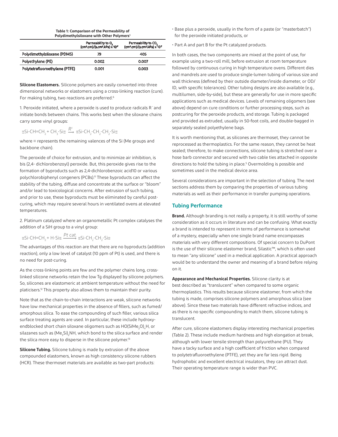#### **Table 1: Comparison of the Permeability of Polydimethylsiloxane with Other Polymers**<sup>9</sup>

|                                | Permeability to $O_2$<br>(cm <sup>3</sup> .cm)/(s.cm <sup>2</sup> .kPa) x 10 <sup>-7</sup> | Permeability to CO <sub>2</sub><br>(cm <sup>3</sup> .cm)/(s.cm <sup>2</sup> .kPa) x 10 <sup>-7</sup> |
|--------------------------------|--------------------------------------------------------------------------------------------|------------------------------------------------------------------------------------------------------|
| Polydimethylsiloxane (PDMS)    | 79                                                                                         | 405                                                                                                  |
| Polyethylene (PE)              | 0.002                                                                                      | 0.007                                                                                                |
| Polytetrafluoroethylene (PTFE) | 0.001                                                                                      | 0.003                                                                                                |

**Silicone Elastomers.** Silicone polymers are easily converted into three dimensional networks or elastomers using a cross-linking reaction (cure). For making tubing, two reactions are preferred.<sup>6</sup>

1. Peroxide initiated, where a peroxide is used to produce radicals R˙and initiate bonds between chains. This works best when the siloxane chains carry some vinyl groups:

# $\equiv$ Si-CH=CH<sub>2</sub>+ CH<sub>3</sub>-Si $\equiv \frac{R^1}{2}$   $\equiv$ Si-CH<sub>2</sub>-CH<sub>2</sub>-CH<sub>2</sub>-Si $\equiv$

where ≡ represents the remaining valences of the Si (Me groups and backbone chain).

and phot to use, these byproducts must be eliminated by carefut post<br>curing, which may require several hours in ventilated ovens at elevated The peroxide of choice for extrusion, and to minimize air inhibition, is bis (2,4- dichlorobenzoyl) peroxide. But, this peroxide gives rise to the ois (2,4- dictitoropenzoyi) peroxide, but, this peroxide gives rise to the<br>formation of byproducts such as 2,4-dichlorobenzoic acid10 or various polychlorobiphenyl congeners (PCBs).11 These byproducts can affect the stability of the tubing, diffuse and concentrate at the surface or "bloom" and/or lead to toxicological concerns. After extrusion of such tubing, and prior to use, these byproducts must be eliminated by careful posttemperatures.

2. Platinum catalyzed where an organometallic Pt complex catalyses the addition of a SiH group to a vinyl group:

# =Si-CH=CH2 + H-Si= =Si-CH2 -CH2 -Si= *Pt cat.*

The advantages of this reaction are that there are no byproducts (addition reaction), only a low level of catalyst (10 ppm of Pt) is used, and there is no need for post-curing.

As the cross-linking points are few and the polymer chains long, crosslinked silicone networks retain the low Tg displayed by silicone polymers. So, silicones are elastomeric at ambient temperature without the need for platicisers.12 This property also allows them to maintain their purity.

Note that as the chain-to-chain interactions are weak, silicone networks have low mechanical properties in the absence of fillers, such as fumed/ amorphous silica. To ease the compounding of such filler, various silica surface treating agents are used. In particular, these include hydroxyendblocked short chain siloxane oligomers such as HO(SiMe<sub>2</sub>O)<sub>n</sub>H, or silazanes such as (Me $_{\rm 3}$ Si) $_{\rm 2}$ NH, which bond to the silica surface and render the silica more easy to disperse in the silicone polymer.<sup>13</sup>

**Silicone Tubing.** Silicone tubing is made by extrusion of the above compounded elastomers, known as high consistency silicone rubbers (HCR). These thermoset materials are available as two-part products:

- Base plus a peroxide, usually in the form of a paste (or "masterbatch") for the peroxide initiated products, or
- Part A and part B for the Pt catalyzed products.

In both cases, the two components are mixed at the point of use, for example using a two-roll mill, before extrusion at room temperature followed by continuous curing in high temperature ovens. Different dies and mandrels are used to produce single-lumen tubing of various size and wall thickness (defined by their outside diameter/inside diameter, or OD/ ID, with specific tolerances). Other tubing designs are also available (e.g., multilumen, side-by-side), but these are generally for use in more specific applications such as medical devices. Levels of remaining oligomers (see above) depend on cure conditions or further processing steps, such as postcuring for the peroxide products, and storage. Tubing is packaged and provided as extruded, usually in 50-foot coils, and double-bagged in separately sealed polyethylene bags.

It is worth mentioning that, as silicones are thermoset, they cannot be reprocessed as thermoplastics. For the same reason, they cannot be heat sealed; therefore, to make connections, silicone tubing is stretched over a hose barb connector and secured with two cable ties attached in opposite directions to hold the tubing in place.<sup>5</sup> Overmolding is possible and sometimes used in the medical device area.

Several considerations are important in the selection of tubing. The next sections address them by comparing the properties of various tubing materials as well as their performance in transfer pumping operations.

#### **Tubing Performance**

**Brand.** Although branding is not really a property, it is still worthy of some consideration as it occurs in literature and can be confusing. What exactly a brand is intended to represent in terms of performance is somewhat of a mystery, especially when one single brand name encompasses materials with very different compositions. Of special concern to DuPont is the use of their silicone elastomer brand, Silastic™, which is often used to mean "any silicone" used in a medical application. A practical approach would be to understand the owner and meaning of a brand before relying on it.

**Appearance and Mechanical Properties.** Silicone clarity is at best described as "translucent" when compared to some organic thermoplastics. This results because silicone elastomer, from which the tubing is made, comprises silicone polymers and amorphous silica (see above). Since these two materials have different refractive indices, and as there is no specific compounding to match them, silicone tubing is translucent.

After cure, silicone elastomers display interesting mechanical properties (Table 2). These include medium hardness and high elongation at break, although with lower tensile strength than polyurethane (PU). They have a tacky surface and a high coefficient of friction when compared to polytetrafluoroethylene (PTFE), yet they are far less rigid. Being hydrophobic and excellent electrical insulators, they can attract dust. Their operating temperature range is wider than PVC.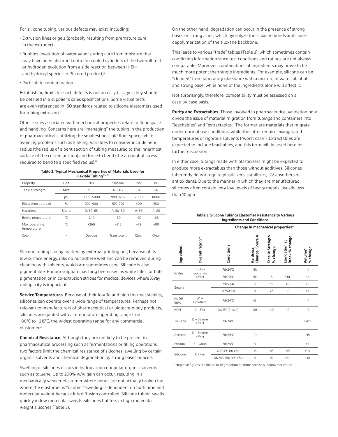For silicone tubing, various defects may exist, including:

- Extrusion lines or gels (probably resulting from premature cure in the extruder)
- Bubbles (evolution of water vapor during cure from moisture that may have been absorbed onto the cooled cylinders of the two-roll mill or hydrogen evolution from a side reaction between H-Si≡ and hydroxyl species in Pt cured product)<sup>6</sup>
- Particulate contamination

Establishing limits for such defects is not an easy task, yet they should be detailed in a supplier's sales specifications. Some visual tests are even referenced in ISO standards related to silicone elastomers used for tubing extrusion.<sup>17</sup>

Other issues associated with mechanical properties relate to floor space and handling. Concerns here are "managing" the tubing in the production of pharmaceuticals, utilizing the smallest possible floor space, while avoiding problems such as kinking. Variables to consider include bend radius (the radius of a bent section of tubing measured to the innermost surface of the curved portion) and force to bend (the amount of stress required to bend to a specified radius).18

**Table 2. Typical Mechanical Properties of Materials Used for** 

| Flexible Tubing <sup>2,14-16</sup> |       |             |              |            |       |
|------------------------------------|-------|-------------|--------------|------------|-------|
| Property                           | Unit  | PTFE        | Silicone     | <b>PVC</b> | PU    |
| Tensile strength                   | MPa   | $21 - 35$   | $6.8 - 8.7$  | 14         | 56    |
|                                    | psi   | 3000-5000   | 990-1265     | 2000       | 8000  |
| Elongation at break                | %     | $200 - 400$ | $570 - 795$  | 400        | 550   |
| Hardness                           | Shore | $D: 50-65$  | A: $50 - 80$ | A:68       | A: 85 |
| Brittle temperature                | °C    | $-240$      | $-80$        | $-40$      | $-68$ |
| Max. operating<br>temperature      | °C    | $+260$      | $+215$       | $+79$      | $+80$ |
| Color                              |       | Opague      | Translucent  | Clear      | Clear |

Silicone tubing can by marked by external printing but, because of its low surface energy, inks do not adhere well and can be removed during cleaning with solvents, which are sometimes used. Silicone is also pigmentable. Barium sulphate has long been used as white filler for bulk pigmentation or in co-extrusion stripes for medical devices where X-ray radiopacity is important.

**Service Temperatures.** Because of their low Tg and high thermal stability, silicones can operate over a wide range of temperatures. Perhaps not relevant to manufacturers of pharmaceutical or biotechnology products, silicones are quoted with a temperature operating range from -80°C to +215°C, the widest operating range for any commercial elastomer.2

**Chemical Resistance.** Although they are unlikely to be present in pharmaceutical processing such as fermentations or filling operations, two factors limit the chemical resistance of silicones: swelling by certain organic solvents and chemical degradation by strong bases or acids.

Swelling of silicones occurs in hydrocarbon nonpolar organic solvents such as toluene. Up to 200% w/w gain can occur, resulting in a mechanically weaker elastomer where bonds are not actually broken but where the elastomer is "diluted." Swelling is dependent on both time and molecular weight because it is diffusion controlled. Silicone tubing swells quickly in low molecular weight silicones but less in high molecular weight silicones (Table 3).

On the other hand, degradation can occur in the presence of strong bases or strong acids, which hydrolyze the siloxane bonds and cause depolymerization of the siloxane backbone.

This leads to various "trade" tables (Table 3), which sometimes contain conflicting information since test conditions and ratings are not always comparable. Moreover, combinations of ingredients may prove to be much more potent than single ingredients. For example, silicone can be "cleaned" from laboratory glassware with a mixture of water, alcohol and strong base, while none of the ingredients alone will affect it.

Not surprisingly, therefore, compatibility must be assessed on a case-by-case basis.

**Purity and Extractables.** Those involved in pharmaceutical validation now divide the issue of material migration from tubings and containers into "leachables" and "extractables." The former are materials that migrate under normal use conditions, while the latter require exaggerated temperatures or rigorous solvents ("worst case"). Extractables are expected to include leachables, and this term will be used here for further discussion.

In either case, tubings made with plasticizers might be expected to produce more extractables than those without additives. Silicones inherently do not require plasticizers, stabilizers, UV absorbers or antioxidants. Due to the manner in which they are manufactured, silicones often contain very low levels of heavy metals, usually less than 10 ppm.

| Table 3. Silicone Tubing/Elastomer Resistance to Various |
|----------------------------------------------------------|
| <b>Ingredients and Conditions</b>                        |

|                    |                              | Change in mechanical properties <sup>20</sup> |                                |                              |                                 |                     |
|--------------------|------------------------------|-----------------------------------------------|--------------------------------|------------------------------|---------------------------------|---------------------|
| Ingredient         | Overall rating <sup>19</sup> | Conditions                                    | ⋖<br>Change, Shore<br>Hardness | Tensile Strength<br>% change | Break % change<br>Elongation at | % change<br>Volume* |
| Water              | $C$ – Fair<br>moderate       | 7d/24°C                                       | Nil                            |                              |                                 | nil                 |
|                    | effect                       | 7d/70°C                                       | Nil                            | $-5$                         | $+10$                           | nil                 |
|                    |                              | 7d/5 psi                                      | -5                             | $-15$                        | $+5$                            | $+5$                |
| Steam              |                              | 1d/50 psi                                     | -5                             | $-25$                        | $-10$                           | $+5$                |
| <b>NaOH</b><br>50% | $A1 -$<br>Excellent          | 7d/24°C                                       | -5                             |                              |                                 | nil                 |
| KOH                | $C$ – Fair                   | 1d/150°C (sat.)                               | $-20$                          | $-40$                        | $-10$                           | $-10$               |
| Toluene            | $D -$ Severe<br>effect       | 7d/24°C                                       |                                |                              |                                 | $+205$              |
| Acetone            | $D -$ Severe<br>effect       | 7d/24°C                                       | $-10$                          |                              |                                 | $+15$               |
| Ethanol            | $B - Good$                   | 7d/24°C                                       | -5                             |                              |                                 | $+5$                |
| Silicone           | C - Fair                     | 7d/24°C (10 cSt)                              | $-15$                          | $-45$                        | $-55$                           | $+95$               |
|                    |                              | 7d/24°C (60,000 cSt)                          | $-5$                           | $-10$                        | Nil                             | $+10$               |

\*Negative figures are linked to degradation or, more precisely, depolymerization.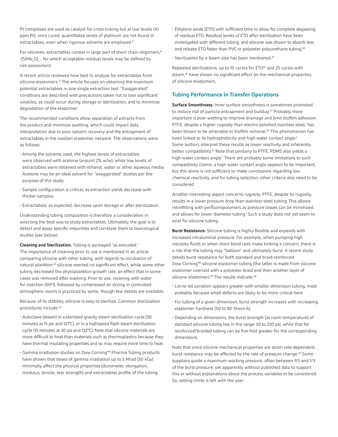Pt complexes are used as catalyst for cross-linking but at low levels (10 ppm Pt); once cured, quantifiable levels of platinum are not found in extractables, even when rigorous solvents are employed.<sup>21</sup>

For silicones, extractables consist in large part of short chain oligomers,<sup>6</sup> -(SiMe<sub>2</sub>O)<sub>n</sub>-, for which acceptable residual levels may be defined by risk assessment.

A recent article reviewed how best to analyze for extractables from silicone elastomers.<sup>21</sup> The article focuses on obtaining the maximum potential extractables in one single extraction test. "Exaggerated" conditions are described with precautions taken not to lose significant volatiles, as could occur during storage or sterilization, and to minimize degradation of the elastomer.

The recommended conditions allow separation of extracts from the product and minimize swelling, which could impact data interpretation due to poor solvent recovery and the entrapment of extractables in the swollen elastomer network. The observations were as follows:

- Among the solvents used, the highest levels of extractables were observed with acetone (around 2% w/w), while low levels of extractables were obtained with ethanol, water or other aqueous media. Acetone may be an ideal solvent for "exaggerated" studies per the purpose of this study.
- Sample configuration is critical, as extraction yields decrease with thicker samples.
- Extractables, as expected, decrease upon storage or after sterilization.

Understanding tubing composition is therefore a consideration in selecting the best way to study extractables. Ultimately, the goal is to detect and assay specific impurities and correlate them to toxicological studies (see below).

**Cleaning and Sterilization.** Tubing is packaged "as extruded." The importance of cleaning prior to use is mentioned in an article comparing silicone with other tubing, with regards to incubation of natural plankton:<sup>22</sup> silicone exerted no significant effect, while some other tubing decreased the phytoplankton growth rate, an effect that in some cases was removed after washing. Prior to use, cleaning with water for injection (WFI), followed by compressed air drying in controlledatmosphere rooms is practiced by some, though few details are available.

Because of its stability, silicone is easy to sterilize. Common sterilization procedures include:23

- Autoclave (steam) in a standard gravity steam sterilization cycle (30 minutes at 15 psi and 121°C), or in a highspeed flash steam sterilization cycle (15 minutes at 30 psi and 132°C). Note that silicone materials are more difficult to heat than materials such as thermoplastics because they have thermal insulating properties and so may require more time to heat.
- Gamma irradiation studies on Dow Corning™ Pharma Tubing products have shown that doses of gamma irradiation up to 5 Mrad (50 kGy) minimally affect the physical properties (durometer, elongation, modulus, tensile, tear strength) and extractables profile of the tubing.

• Ethylene oxide (ETO) with sufficient time to allow for complete degassing of residual ETO. Residual levels of ETO after sterilization have been investigated with different tubing, and silicone was shown to absorb less and release ETO faster than PVC or polyester-polyurethane tubing.<sup>24</sup>

• Sterilization by e-beam also has been mentioned.25

Repeated sterilizations, up to 10 cycles for ETO<sup>25</sup> and 25 cycles with steam,<sup>26</sup> have shown no significant effect on the mechanical properties of silicone elastomers.

#### **Tubing Performance in Transfer Operations**

**Surface Smoothness.** Inner surface smoothness is sometimes promoted to reduce risk of particle entrapment and buildup.<sup>27</sup> Probably more important is poor wetting to improve drainage and limit biofilm adhesion. PTFE, despite a higher rugosity than electro-polished stainless steel,<sup>1</sup> has been shown to be amenable to biofilm removal.<sup>28</sup> This phenomenon has been linked to its hydrophobicity and high water contact angle.<sup>1</sup> Some authors interpret these results as lower reactivity and inherently better compatibility.<sup>25</sup> Note that similarly to PTFE, PDMS also yields a high water contact angle.<sup>7</sup> There are probably some limitations to such compatibility claims: a high water contact angle appears to be important, but this alone is not sufficient to make conclusions regarding low chemical reactivity, and for tubing selection, other criteria also need to be considered.

Another interesting aspect concerns rugosity. PTFE, despite its rugosity, results in a lower pressure drop than stainless steel tubing. This allows retrofitting with perfluoropolymers as pressure losses can be minimized and allows for lower diameter tubing.<sup>1</sup> Such a study does not yet seem to exist for silicone tubing.

**Burst Resistance.** Silicone tubing is highly flexible and expands with increased intraluminal pressure. For example, when pumping high viscosity fluids or when short-bend radii make kinking a concern, there is a risk that the tubing may "balloon" and ultimately burst. A recent study details burst resistance for both standard and braid-reinforced Dow Corning™ silicone elastomer tubing (the latter is made from silicone elastomer overlaid with a polyester braid and then another layer of silicone elastomer).<sup>29</sup> The results indicate:<sup>30</sup>

- Lot-to-lot variation appears greater with smaller dimension tubing, most probably because small defects are likely to be more critical here.
- For tubing of a given dimension, burst strength increases with increasing elastomer hardness (50 to 80 Shore A).
- Depending on dimensions, the burst strength (at room temperature) of standard silicone tubing lies in the range 30 to 250 psi, while that for reinforced/braided tubing can be five-fold greater for the corresponding dimensions.

Note that since silicone mechanical properties are strain rate-dependent, burst resistance may be affected by the rate of pressure change.<sup>30</sup> Some suppliers quote a maximum working pressure, often between 1/5 and 1/3 of the burst pressure, yet apparently without published data to support this or without explanations about the process variables to be considered. So, setting limits is left with the user.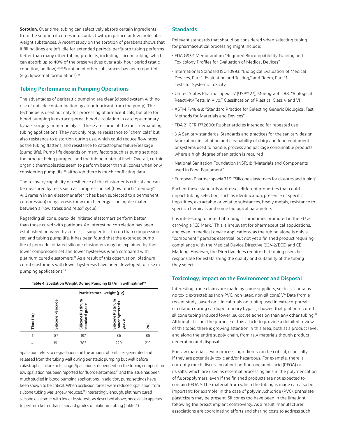**Sorption.** Over time, tubing can selectively absorb certain ingredients from the solution it comes into contact with, in particular low molecular weight substances. A recent study on the sorption of parabens shows that if filling lines are left idle for extended periods, perfluoro tubing performs better than many other tubing products, including silicone tubing, which can absorb up to 40% of the preservatives over a six-hour period (static condition, no flow).31-34 Sorption of other substances has been reported (e.g., liposomal formulations).35

#### **Tubing Performance in Pumping Operations**

The advantages of peristaltic pumping are clear (closed system with no risk of outside contamination by air or lubricant from the pump). The technique is used not only for processing pharmaceuticals, but also for blood pumping in extracorporeal blood circulation in cardiopulmonary bypass surgery or hemodialysis. These are some of the most demanding tubing applications. They not only require resistance to "chemicals" but also resistance to distortion during use, which could reduce flow rates as the tubing flattens, and resistance to catastrophic failure/leakage (pump life). Pump life depends on many factors such as pump settings, the product being pumped, and the tubing material itself. Overall, certain organic thermoplastics seem to perform better than silicones when only considering pump life,<sup>36</sup> although there is much conflicting data.

The recovery capability or resilience of the elastomer is critical and can be measured by tests such as compression set (how much "memory" will remain in an elastomer after it has been subjected to a permanent compression) or hysteresis (how much energy is being dissipated between a "low stress and relax" cycle).

Regarding silicone, peroxide initiated elastomers perform better than those cured with platinum. An interesting correlation has been established between hysteresis, a simpler test to run than compression set, and tubing pump life. It has been found that the extended pump life of peroxide initiated silicone elastomers may be explained by their lower compression set and lower hysteresis when compared with platinum cured elastomers.37 As a result of this observation, platinum cured elastomers with lower hysteresis have been developed for use in pumping applications.38

#### **Table 4. Spallation Weight During Pumping (5 l/min with saline)40**

|           | Particles total weight (µg) |                                           |                                                                       |     |
|-----------|-----------------------------|-------------------------------------------|-----------------------------------------------------------------------|-----|
| Ξ<br>Time | ω<br>eroxid<br>Silicone     | Platinum<br>grade<br>standard<br>Silicone | hysteresis<br><b>Silicone Platinu</b><br>lower hysteresi<br>epe.<br>ā | n   |
|           | 87                          | 197                                       | 86                                                                    | 85  |
|           | 191                         | 383                                       | 229                                                                   | 219 |

Spallation refers to degradation and the amount of particles generated and released from the tubing wall during peristaltic pumping but well before catastrophic failure or leakage. Spallation is dependent on the tubing composition: low spallation has been reported for fluoroelastomers,<sup>30</sup> and the issue has been much studied in blood pumping applications. In addition, pump settings have been shown to be critical. When occlusion forces were reduced, spallation from silicone tubing was largely reduced.<sup>39</sup> Interestingly enough, platinum cured silicone elastomer with lower hysteresis, as described above, once again appears to perform better than standard grades of platinum tubing (Table 4).

#### **Standards**

Relevant standards that should be considered when selecting tubing for pharmaceutical processing might include:

- FDA G95-1 Memorandum "Required Biocompatibility Training and Toxicology Profiles for Evaluation of Medical Devices"
- International Standard ISO 10993: "Biological Evaluation of Medical Devices, Part 1: Evaluation and Testing," and "idem, Part 11: Tests for Systemic Toxicity"
- United States Pharmacopeia 27 (USP® 27), Monograph c88: "Biological Reactivity Tests, In Vivo," Classification of Plastics: Class V and VI
- ASTM F748-98: "Standard Practice for Selecting Generic Biological Test Methods for Materials and Devices"
- FDA 21 CFR 177.2600: Rubber articles intended for repeated use
- 3-A Sanitary standards, Standards and practices for the sanitary design, fabrication, installation and cleanability of dairy and food equipment or systems used to handle, process and package consumable products where a high degree of sanitation is required
- National Sanitation Foundation (NSF51): "Materials and Components used in Food Equipment"
- European Pharmacopoeia 3.1.9: "Silicone elastomers for closures and tubing"

Each of these standards addresses different properties that could impact tubing selection, such as identification, presence of specific impurities, extractable or volatile substances, heavy metals, resistance to specific chemicals and some biological parameters.

It is interesting to note that tubing is sometimes promoted in the EU as carrying a "CE Mark." This is irrelevant for pharmaceutical applications, and even in medical device applications, as the tubing alone is only a "component," perhaps essential, but not yet a finished product requiring compliance with the Medical Device Directive (93/42/EEC) and CE Marking. However, the Directive does require that tubing users be responsible for establishing the quality and suitability of the tubing they select.

#### **Toxicology, Impact on the Environment and Disposal**

Interesting trade claims are made by some suppliers, such as "contains no toxic extractables (non-PVC, non-latex, non-silicone)".36 Data from a recent study, based on clinical trials on tubing used in extracorporeal circulation during cardiopulmonary bypass, showed that platinum cured silicone tubing induced lower leukocyte adhesion than any other tubing.<sup>41</sup> Although it is not the purpose of this article to provide a detailed review of this topic, there is growing attention in this area, both at a product level and along the entire supply chain, from raw materials though product generation and disposal.

For raw materials, even process ingredients can be critical, especially if they are potentially toxic and/or hazardous. For example, there is currently much discussion about perfluorooctanoic acid (PFOA) or its salts, which are used as essential processing aids in the polymerization of fluoropolymers, even if the finished products are not expected to contain PFOA.42 The material from which the tubing is made can also be important; for example, in the case of polyvinylchloride (PVC), phthalate plasticizers may be present. Silicones too have been in the limelight following the breast implant controversy. As a result, manufacturer associations are coordinating efforts and sharing costs to address such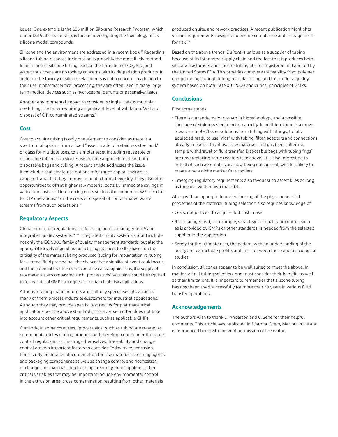issues. One example is the \$35 million Siloxane Research Program, which, under DuPont's leadership, is further investigating the toxicology of six silicone model compounds.

Silicone and the environment are addressed in a recent book.43 Regarding silicone tubing disposal, incineration is probably the most likely method. Incineration of silicone tubing leads to the formation of CO $_{\textrm{\tiny{2}}}$ , SiO $_{\textrm{\tiny{2}}}$  and water; thus, there are no toxicity concerns with its degradation products. In addition, the toxicity of silicone elastomers is not a concern. In addition to their use in pharmaceutical processing, they are often used in many longterm medical devices such as hydrocephalic shunts or pacemaker leads.

Another environmental impact to consider is single- versus multipleuse tubing, the latter requiring a significant level of validation, WFI and disposal of CIP-contaminated streams.<sup>5</sup>

#### **Cost**

Cost to acquire tubing is only one element to consider, as there is a spectrum of options from a fixed "asset" made of a stainless steel and/ or glass for multiple uses, to a simpler asset including reuseable or disposable tubing, to a single-use flexible approach made of both disposable bags and tubing. A recent article addresses the issue. It concludes that single-use options offer much capital savings as expected, and that they improve manufacturing flexibility. They also offer opportunities to offset higher raw material costs by immediate savings in validation costs and in recurring costs such as the amount of WFI needed for CIP operations,<sup>44</sup> or the costs of disposal of contaminated waste streams from such operations.<sup>5</sup>

#### **Regulatory Aspects**

Global emerging regulations are focusing on risk management<sup>45</sup> and integrated quality systems.<sup>46-48</sup> Integrated quality systems should include not only the ISO 9000 family of quality management standards, but also the appropriate levels of good manufacturing practices (GMPs) based on the criticality of the material being produced (tubing for implantation vs. tubing for external fluid processing), the chance that a significant event could occur, and the potential that the event could be catastrophic. Thus, the supply of raw materials, encompassing such "process aids" as tubing, could be required to follow critical GMPs principles for certain high risk applications.

Although tubing manufacturers are skillfully specialised at extruding, many of them process industrial elastomers for industrial applications. Although they may provide specific test results for pharmaceutical applications per the above standards, this approach often does not take into account other critical requirements, such as applicable GMPs.

Currently, in some countries, "process aids" such as tubing are treated as component articles of drug products and therefore come under the same control regulations as the drugs themselves. Traceability and change control are two important factors to consider. Today many extrusion houses rely on detailed documentation for raw materials, cleaning agents and packaging components as well as change control and notification of changes for materials produced upstream by their suppliers. Other critical variables that may be important include environmental control in the extrusion area, cross-contamination resulting from other materials

produced on site, and rework practices. A recent publication highlights various requirements designed to ensure compliance and management for risk.49

Based on the above trends, DuPont is unique as a supplier of tubing because of its integrated supply chain and the fact that it produces both silicone elastomers and silicone tubing at sites registered and audited by the United States FDA. This provides complete traceability from polymer compounding through tubing manufacturing, and this under a quality system based on both ISO 9001:2000 and critical principles of GMPs.

#### **Conclusions**

- First some trends:
- There is currently major growth in biotechnology, and a possible shortage of stainless steel reactor capacity. In addition, there is a move towards simpler/faster solutions from tubing with fittings, to fully equipped ready to use "rigs" with tubing, filter, adaptors and connections already in place. This allows raw materials and gas feeds, filtering, sample withdrawal or fluid transfer. Disposable bags with tubing "rigs" are now replacing some reactors (see above). It is also interesting to note that such assemblies are now being outsourced, which is likely to create a new niche market for suppliers.
- Emerging regulatory requirements also favour such assemblies as long as they use well-known materials.

Along with an appropriate understanding of the physicochemical properties of the material, tubing selection also requires knowledge of:

- Costs, not just cost to acquire, but cost in use.
- Risk management; for example, what level of quality or control, such as is provided by GMPs or other standards, is needed from the selected supplier in the application.
- Safety for the ultimate user, the patient, with an understanding of the purity and extractable profile, and links between these and toxicological studies.

In conclusion, silicones appear to be well suited to meet the above. In making a final tubing selection, one must consider their benefits as well as their limitations. It is important to remember that silicone tubing has now been used successfully for more than 30 years in various fluid transfer operations.

#### **Acknowledgements**

The authors wish to thank D. Anderson and C. Séné for their helpful comments. This article was published in *Pharma-Chem*, Mar. 30, 2004 and is reproduced here with the kind permission of the editor.